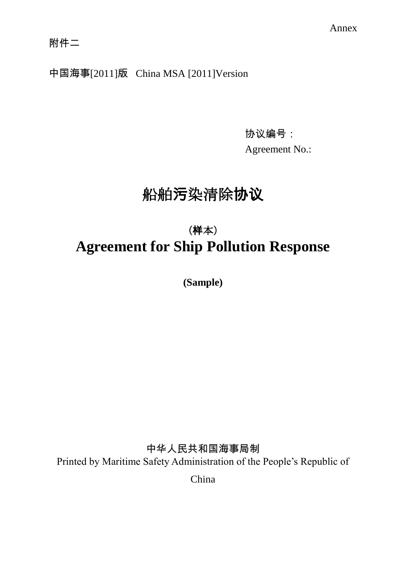中国海事[2011]版 China MSA [2011]Version

协议编号:

Agreement No.:

# 船舶污染清除协议

# (样本) **Agreement for Ship Pollution Response**

**(Sample)**

中华人民共和国海事局制 Printed by Maritime Safety Administration of the People's Republic of

China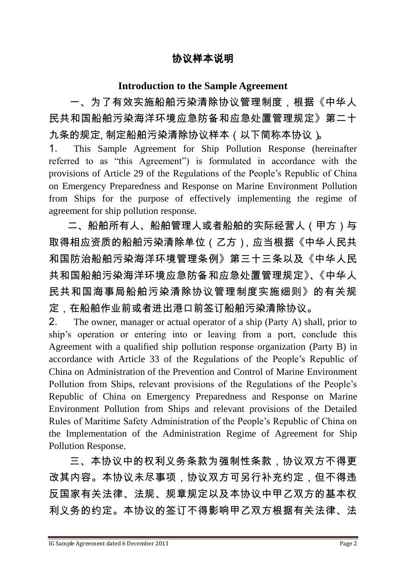#### 协议样本说明

#### **Introduction to the Sample Agreement**

一、为了有效实施船舶污染清除协议管理制度,根据《中华人 民共和国船舶污染海洋环境应急防备和应急处置管理规定》第二十 九条的规定, 制定船舶污染清除协议样本 ( 以下简称本协议 )。

1. This Sample Agreement for Ship Pollution Response (hereinafter referred to as "this Agreement") is formulated in accordance with the provisions of Article 29 of the Regulations of the People's Republic of China on Emergency Preparedness and Response on Marine Environment Pollution from Ships for the purpose of effectively implementing the regime of agreement for ship pollution response.

二、船舶所有人、船舶管理人或者船舶的实际经营人(甲方)与 取得相应资质的船舶污染清除单位 (乙方), 应当根据《中华人民共 和国防治船舶污染海洋环境管理条例》第三十三条以及《中华人民 共和国船舶污染海洋环境应急防备和应急处置管理规定》、《中华人 民共和国海事局船舶污染清除协议管理制度实施细则》的有关规 定,在船舶作业前或者进出港口前签订船舶污染清除协议。

2. The owner, manager or actual operator of a ship (Party A) shall, prior to ship's operation or entering into or leaving from a port, conclude this Agreement with a qualified ship pollution response organization (Party B) in accordance with Article 33 of the Regulations of the People's Republic of China on Administration of the Prevention and Control of Marine Environment Pollution from Ships, relevant provisions of the Regulations of the People's Republic of China on Emergency Preparedness and Response on Marine Environment Pollution from Ships and relevant provisions of the Detailed Rules of Maritime Safety Administration of the People's Republic of China on the Implementation of the Administration Regime of Agreement for Ship Pollution Response.

三、本协议中的权利义务条款为强制性条款,协议双方不得更 改其内容。本协议未尽事项,协议双方可另行补充约定,但不得违 反国家有关法律、法规、规章规定以及本协议中甲乙双方的基本权 利义务的约定。本协议的签订不得影响甲乙双方根据有关法律、法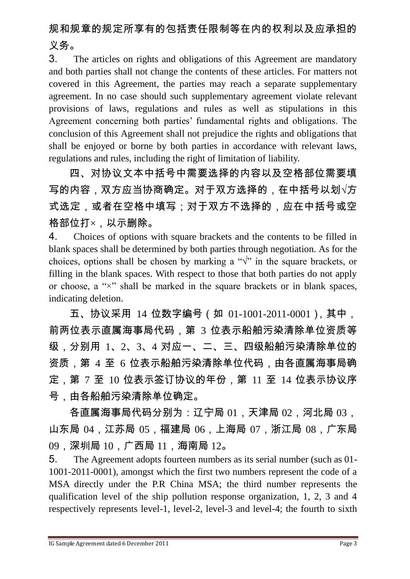# 规和规章的规定所享有的包括责任限制等在内的权利以及应承担的 义务。

3. The articles on rights and obligations of this Agreement are mandatory and both parties shall not change the contents of these articles. For matters not covered in this Agreement, the parties may reach a separate supplementary agreement. In no case should such supplementary agreement violate relevant provisions of laws, regulations and rules as well as stipulations in this Agreement concerning both parties' fundamental rights and obligations. The conclusion of this Agreement shall not prejudice the rights and obligations that shall be enjoyed or borne by both parties in accordance with relevant laws, regulations and rules, including the right of limitation of liability.

四、对协议文本中括号中需要选择的内容以及空格部位需要填 写的内容,双方应当协商确定。对于双方选择的,在中括号以划√方 式选定,或者在空格中填写;对于双方不选择的,应在中括号或空 格部位打×,以示删除。

4. Choices of options with square brackets and the contents to be filled in blank spaces shall be determined by both parties through negotiation. As for the choices, options shall be chosen by marking a " $\sqrt{$ " in the square brackets, or filling in the blank spaces. With respect to those that both parties do not apply or choose, a " $\times$ " shall be marked in the square brackets or in blank spaces, indicating deletion.

五、协议采用 14 位数字编号(如 01-1001-2011-0001),其中, 前两位表示直属海事局代码,第 3 位表示船舶污染清除单位资质等 级,分别用 1、2、3、4 对应一、二、三、四级船舶污染清除单位的 资质,第 4 至 6 位表示船舶污染清除单位代码,由各直属海事局确 定,第 7 至 10 位表示签订协议的年份,第 11 至 14 位表示协议序 号,由各船舶污染清除单位确定。

各直属海事局代码分别为:辽宁局 01,天津局 02,河北局 03, 山东局 04,江苏局 05,福建局 06,上海局 07,浙江局 08,广东局 09,深圳局 10,广西局 11,海南局 12。

5. The Agreement adopts fourteen numbers as its serial number (such as 01- 1001-2011-0001), amongst which the first two numbers represent the code of a MSA directly under the P.R China MSA; the third number represents the qualification level of the ship pollution response organization, 1, 2, 3 and 4 respectively represents level-1, level-2, level-3 and level-4; the fourth to sixth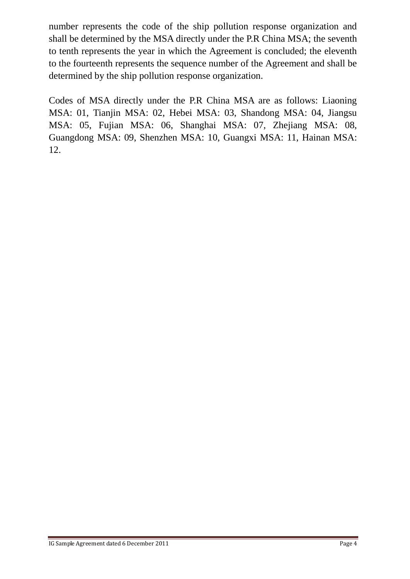number represents the code of the ship pollution response organization and shall be determined by the MSA directly under the P.R China MSA; the seventh to tenth represents the year in which the Agreement is concluded; the eleventh to the fourteenth represents the sequence number of the Agreement and shall be determined by the ship pollution response organization.

Codes of MSA directly under the P.R China MSA are as follows: Liaoning MSA: 01, Tianjin MSA: 02, Hebei MSA: 03, Shandong MSA: 04, Jiangsu MSA: 05, Fujian MSA: 06, Shanghai MSA: 07, Zhejiang MSA: 08, Guangdong MSA: 09, Shenzhen MSA: 10, Guangxi MSA: 11, Hainan MSA: 12.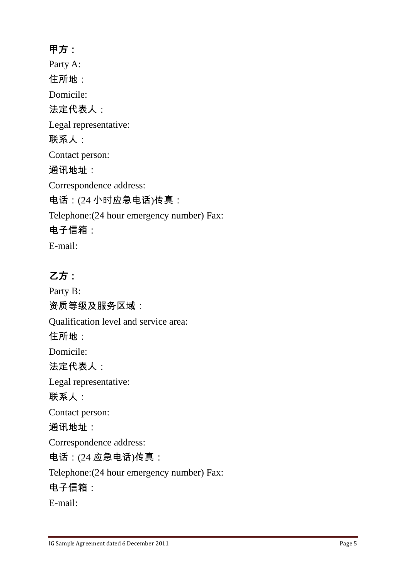### 甲方:

Party A: 住所地: Domicile: 法定代表人: Legal representative: 联系人: Contact person: 通讯地址: Correspondence address: 电话:(24 小时应急电话)传真: Telephone:(24 hour emergency number) Fax: 电子信箱: E-mail:

### 乙方:

Party B: 资质等级及服务区域: Qualification level and service area: 住所地: Domicile: 法定代表人: Legal representative: 联系人: Contact person: 通讯地址: Correspondence address: 电话:(24 应急电话)传真: Telephone:(24 hour emergency number) Fax: 电子信箱: E-mail: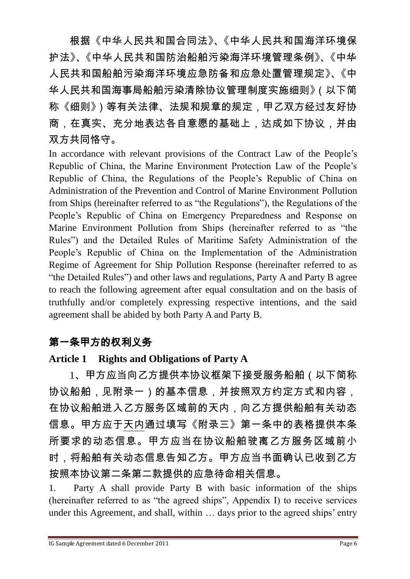根据《中华人民共和国合同法》、《中华人民共和国海洋环境保 护法》、《中华人民共和国防治船舶污染海洋环境管理条例》、《中华 人民共和国船舶污染海洋环境应急防备和应急处置管理规定》、《中 华人民共和国海事局船舶污染清除协议管理制度实施细则》(以下简 称《细则》)等有关法律、法规和规章的规定,甲乙双方经过友好协 商,在真实、充分地表达各自意愿的基础上,达成如下协议,并由 双方共同恪守。

In accordance with relevant provisions of the Contract Law of the People's Republic of China, the Marine Environment Protection Law of the People's Republic of China, the Regulations of the People's Republic of China on Administration of the Prevention and Control of Marine Environment Pollution from Ships (hereinafter referred to as "the Regulations"), the Regulations of the People's Republic of China on Emergency Preparedness and Response on Marine Environment Pollution from Ships (hereinafter referred to as "the Rules") and the Detailed Rules of Maritime Safety Administration of the People's Republic of China on the Implementation of the Administration Regime of Agreement for Ship Pollution Response (hereinafter referred to as "the Detailed Rules") and other laws and regulations, Party A and Party B agree to reach the following agreement after equal consultation and on the basis of truthfully and/or completely expressing respective intentions, and the said agreement shall be abided by both Party A and Party B.

### 第一条甲方的权利义务

### **Article 1 Rights and Obligations of Party A**

1、甲方应当向乙方提供本协议框架下接受服务船舶(以下简称 协议船舶,见附录一)的基本信息,并按照双方约定方式和内容, 在协议船舶进入乙方服务区域前的天内,向乙方提供船舶有关动态 信息。甲方应于天内通过填写《附录三》第一条中的表格提供本条 所要求的动态信息。甲方应当在协议船舶驶离乙方服务区域前小 时,将船舶有关动态信息告知乙方。甲方应当书面确认已收到乙方 按照本协议第二条第二款提供的应急待命相关信息。

1. Party A shall provide Party B with basic information of the ships (hereinafter referred to as "the agreed ships", Appendix I) to receive services under this Agreement, and shall, within … days prior to the agreed ships' entry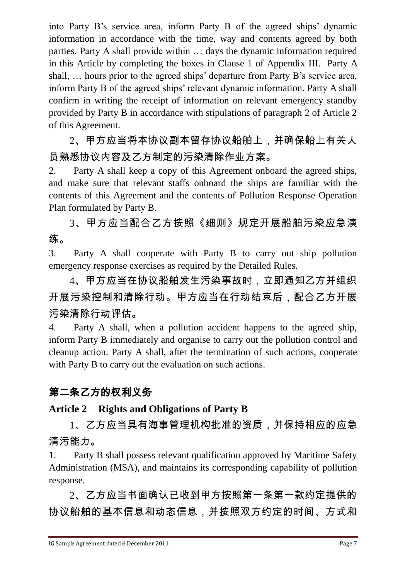into Party B's service area, inform Party B of the agreed ships' dynamic information in accordance with the time, way and contents agreed by both parties. Party A shall provide within … days the dynamic information required in this Article by completing the boxes in Clause 1 of Appendix III. Party A shall, … hours prior to the agreed ships' departure from Party B's service area, inform Party B of the agreed ships' relevant dynamic information. Party A shall confirm in writing the receipt of information on relevant emergency standby provided by Party B in accordance with stipulations of paragraph 2 of Article 2 of this Agreement.

2、甲方应当将本协议副本留存协议船舶上,并确保船上有关人 员熟悉协议内容及乙方制定的污染清除作业方案。

2. Party A shall keep a copy of this Agreement onboard the agreed ships, and make sure that relevant staffs onboard the ships are familiar with the contents of this Agreement and the contents of Pollution Response Operation Plan formulated by Party B.

3、甲方应当配合乙方按照《细则》规定开展船舶污染应急演 练。

3. Party A shall cooperate with Party B to carry out ship pollution emergency response exercises as required by the Detailed Rules.

4、甲方应当在协议船舶发生污染事故时,立即通知乙方并组织 开展污染控制和清除行动。甲方应当在行动结束后,配合乙方开展 污染清除行动评估。

4. Party A shall, when a pollution accident happens to the agreed ship, inform Party B immediately and organise to carry out the pollution control and cleanup action. Party A shall, after the termination of such actions, cooperate with Party B to carry out the evaluation on such actions.

# 第二条乙方的权利义务

### **Article 2 Rights and Obligations of Party B**

1、乙方应当具有海事管理机构批准的资质,并保持相应的应急 清污能力。

1. Party B shall possess relevant qualification approved by Maritime Safety Administration (MSA), and maintains its corresponding capability of pollution response.

2、乙方应当书面确认已收到甲方按照第一条第一款约定提供的 协议船舶的基本信息和动态信息,并按照双方约定的时间、方式和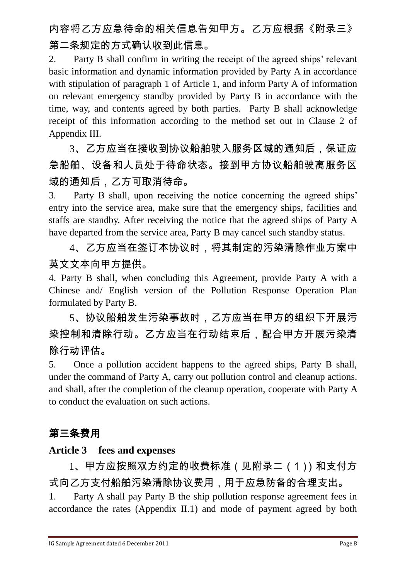# 内容将乙方应急待命的相关信息告知甲方。乙方应根据《附录三》 第二条规定的方式确认收到此信息。

2. Party B shall confirm in writing the receipt of the agreed ships' relevant basic information and dynamic information provided by Party A in accordance with stipulation of paragraph 1 of Article 1, and inform Party A of information on relevant emergency standby provided by Party B in accordance with the time, way, and contents agreed by both parties. Party B shall acknowledge receipt of this information according to the method set out in Clause 2 of Appendix III.

3、乙方应当在接收到协议船舶驶入服务区域的通知后,保证应 急船舶、设备和人员处于待命状态。接到甲方协议船舶驶离服务区 域的通知后,乙方可取消待命。

3. Party B shall, upon receiving the notice concerning the agreed ships' entry into the service area, make sure that the emergency ships, facilities and staffs are standby. After receiving the notice that the agreed ships of Party A have departed from the service area, Party B may cancel such standby status.

4、乙方应当在签订本协议时,将其制定的污染清除作业方案中 英文文本向甲方提供。

4. Party B shall, when concluding this Agreement, provide Party A with a Chinese and/ English version of the Pollution Response Operation Plan formulated by Party B.

5、协议船舶发生污染事故时,乙方应当在甲方的组织下开展污 染控制和清除行动。乙方应当在行动结束后,配合甲方开展污染清 除行动评估。

5. Once a pollution accident happens to the agreed ships, Party B shall, under the command of Party A, carry out pollution control and cleanup actions. and shall, after the completion of the cleanup operation, cooperate with Party A to conduct the evaluation on such actions.

### 第三条费用

#### **Article 3 fees and expenses**

1、甲方应按照双方约定的收费标准(见附录二(1))和支付方 式向乙方支付船舶污染清除协议费用,用于应急防备的合理支出。 1. Party A shall pay Party B the ship pollution response agreement fees in accordance the rates (Appendix II.1) and mode of payment agreed by both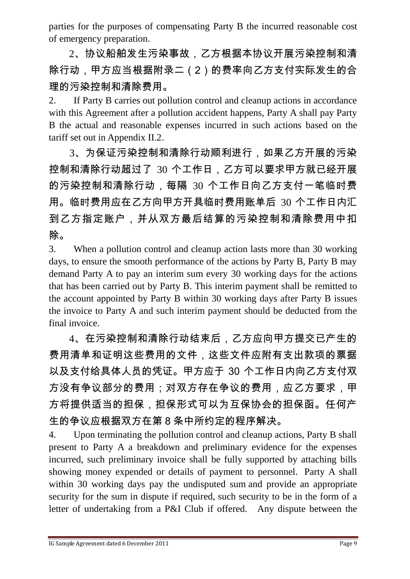parties for the purposes of compensating Party B the incurred reasonable cost of emergency preparation.

2、协议船舶发生污染事故,乙方根据本协议开展污染控制和清 除行动,甲方应当根据附录二(2)的费率向乙方支付实际发生的合 理的污染控制和清除费用。

2. If Party B carries out pollution control and cleanup actions in accordance with this Agreement after a pollution accident happens, Party A shall pay Party B the actual and reasonable expenses incurred in such actions based on the tariff set out in Appendix II.2.

3、为保证污染控制和清除行动顺利进行,如果乙方开展的污染 控制和清除行动超过了 30 个工作日,乙方可以要求甲方就已经开展 的污染控制和清除行动,每隔 30 个工作日向乙方支付一笔临时费 用。临时费用应在乙方向甲方开具临时费用账单后 30 个工作日内汇 到乙方指定账户,并从双方最后结算的污染控制和清除费用中扣 除。

3. When a pollution control and cleanup action lasts more than 30 working days, to ensure the smooth performance of the actions by Party B, Party B may demand Party A to pay an interim sum every 30 working days for the actions that has been carried out by Party B. This interim payment shall be remitted to the account appointed by Party B within 30 working days after Party B issues the invoice to Party A and such interim payment should be deducted from the final invoice.

4、在污染控制和清除行动结束后,乙方应向甲方提交已产生的 费用清单和证明这些费用的文件,这些文件应附有支出款项的票据 以及支付给具体人员的凭证。甲方应于 30 个工作日内向乙方支付双 方没有争议部分的费用;对双方存在争议的费用,应乙方要求,甲 方将提供适当的担保,担保形式可以为互保协会的担保函。任何产 生的争议应根据双方在第 8 条中所约定的程序解决。

4. Upon terminating the pollution control and cleanup actions, Party B shall present to Party A a breakdown and preliminary evidence for the expenses incurred, such preliminary invoice shall be fully supported by attaching bills showing money expended or details of payment to personnel. Party A shall within 30 working days pay the undisputed sum and provide an appropriate security for the sum in dispute if required, such security to be in the form of a letter of undertaking from a P&I Club if offered. Any dispute between the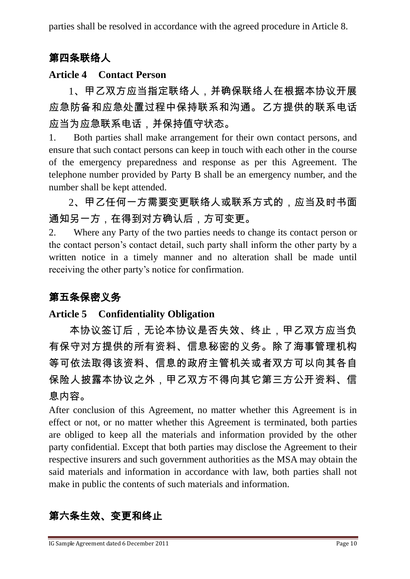parties shall be resolved in accordance with the agreed procedure in Article 8.

### 第四条联络人

#### **Article 4 Contact Person**

1、甲乙双方应当指定联络人,并确保联络人在根据本协议开展 应急防备和应急处置过程中保持联系和沟通。乙方提供的联系电话 应当为应急联系电话,并保持值守状态。

1. Both parties shall make arrangement for their own contact persons, and ensure that such contact persons can keep in touch with each other in the course of the emergency preparedness and response as per this Agreement. The telephone number provided by Party B shall be an emergency number, and the number shall be kept attended.

2、甲乙任何一方需要变更联络人或联系方式的,应当及时书面 通知另一方,在得到对方确认后,方可变更。

2. Where any Party of the two parties needs to change its contact person or the contact person's contact detail, such party shall inform the other party by a written notice in a timely manner and no alteration shall be made until receiving the other party's notice for confirmation.

### 第五条保密义务

#### **Article 5 Confidentiality Obligation**

本协议签订后,无论本协议是否失效、终止,甲乙双方应当负 有保守对方提供的所有资料、信息秘密的义务。除了海事管理机构 等可依法取得该资料、信息的政府主管机关或者双方可以向其各自 保险人披露本协议之外,甲乙双方不得向其它第三方公开资料、信 息内容。

After conclusion of this Agreement, no matter whether this Agreement is in effect or not, or no matter whether this Agreement is terminated, both parties are obliged to keep all the materials and information provided by the other party confidential. Except that both parties may disclose the Agreement to their respective insurers and such government authorities as the MSA may obtain the said materials and information in accordance with law, both parties shall not make in public the contents of such materials and information.

# 第六条生效、变更和终止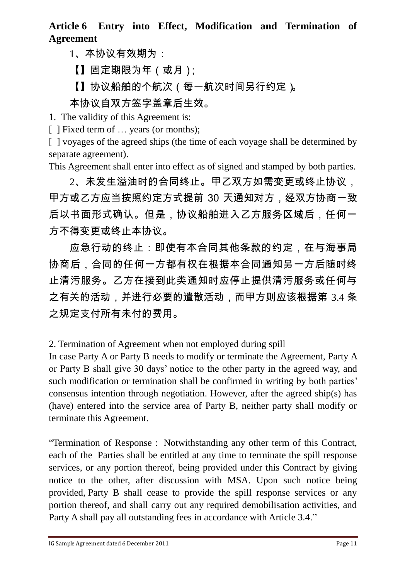### **Article 6 Entry into Effect, Modification and Termination of Agreement**

1、本协议有效期为:

【】固定期限为年(或月);

【】协议船舶的个航次(每一航次时间另行约定)。

### 本协议自双方签字盖章后生效。

1. The validity of this Agreement is:

[ ] Fixed term of ... years (or months);

[ ] voyages of the agreed ships (the time of each voyage shall be determined by separate agreement).

This Agreement shall enter into effect as of signed and stamped by both parties.

2、未发生溢油时的合同终止。甲乙双方如需变更或终止协议, 甲方或乙方应当按照约定方式提前 30 天通知对方,经双方协商一致 后以书面形式确认。但是,协议船舶进入乙方服务区域后,任何一 方不得变更或终止本协议。

应急行动的终止:即使有本合同其他条款的约定,在与海事局 协商后,合同的任何一方都有权在根据本合同通知另一方后随时终 止清污服务。乙方在接到此类通知时应停止提供清污服务或任何与 之有关的活动,并进行必要的遣散活动,而甲方则应该根据第 3.4 条 之规定支付所有未付的费用。

2. Termination of Agreement when not employed during spill

In case Party A or Party B needs to modify or terminate the Agreement, Party A or Party B shall give 30 days' notice to the other party in the agreed way, and such modification or termination shall be confirmed in writing by both parties' consensus intention through negotiation. However, after the agreed ship(s) has (have) entered into the service area of Party B, neither party shall modify or terminate this Agreement.

"Termination of Response : Notwithstanding any other term of this Contract, each of the Parties shall be entitled at any time to terminate the spill response services, or any portion thereof, being provided under this Contract by giving notice to the other, after discussion with MSA. Upon such notice being provided, Party B shall cease to provide the spill response services or any portion thereof, and shall carry out any required demobilisation activities, and Party A shall pay all outstanding fees in accordance with Article 3.4."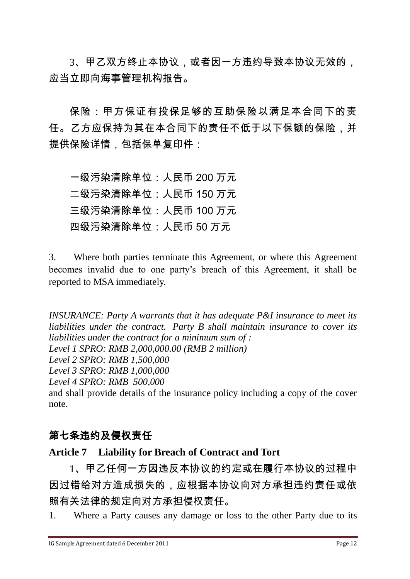3、甲乙双方终止本协议,或者因一方违约导致本协议无效的, 应当立即向海事管理机构报告。

保险:甲方保证有投保足够的互助保险以满足本合同下的责 任。乙方应保持为其在本合同下的责任不低于以下保额的保险,并 提供保险详情,包括保单复印件:

一级污染清除单位:人民币 200 万元 二级污染清除单位:人民币 150 万元 三级污染清除单位:人民币 100 万元 四级污染清除单位:人民币 50 万元

3. Where both parties terminate this Agreement, or where this Agreement becomes invalid due to one party's breach of this Agreement, it shall be reported to MSA immediately.

*INSURANCE: Party A warrants that it has adequate P&I insurance to meet its liabilities under the contract. Party B shall maintain insurance to cover its liabilities under the contract for a minimum sum of : Level 1 SPRO: RMB 2,000,000.00 (RMB 2 million) Level 2 SPRO: RMB 1,500,000 Level 3 SPRO: RMB 1,000,000 Level 4 SPRO: RMB 500,000* and shall provide details of the insurance policy including a copy of the cover note.

#### 第七条违约及侵权责任

#### **Article 7 Liability for Breach of Contract and Tort**

1、甲乙任何一方因违反本协议的约定或在履行本协议的过程中 因过错给对方造成损失的,应根据本协议向对方承担违约责任或依 照有关法律的规定向对方承担侵权责任。

1. Where a Party causes any damage or loss to the other Party due to its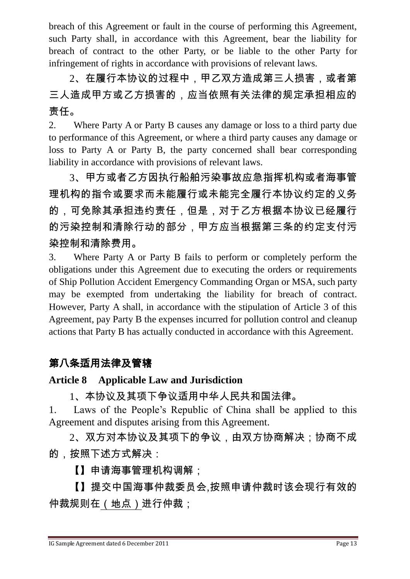breach of this Agreement or fault in the course of performing this Agreement, such Party shall, in accordance with this Agreement, bear the liability for breach of contract to the other Party, or be liable to the other Party for infringement of rights in accordance with provisions of relevant laws.

2、在履行本协议的过程中,甲乙双方造成第三人损害,或者第 三人造成甲方或乙方损害的,应当依照有关法律的规定承担相应的 责任。

2. Where Party A or Party B causes any damage or loss to a third party due to performance of this Agreement, or where a third party causes any damage or loss to Party A or Party B, the party concerned shall bear corresponding liability in accordance with provisions of relevant laws.

3、甲方或者乙方因执行船舶污染事故应急指挥机构或者海事管 理机构的指令或要求而未能履行或未能完全履行本协议约定的义务 的,可免除其承担违约责任,但是,对于乙方根据本协议已经履行 的污染控制和清除行动的部分,甲方应当根据第三条的约定支付污 染控制和清除费用。

3. Where Party A or Party B fails to perform or completely perform the obligations under this Agreement due to executing the orders or requirements of Ship Pollution Accident Emergency Commanding Organ or MSA, such party may be exempted from undertaking the liability for breach of contract. However, Party A shall, in accordance with the stipulation of Article 3 of this Agreement, pay Party B the expenses incurred for pollution control and cleanup actions that Party B has actually conducted in accordance with this Agreement.

### 第八条适用法律及管辖

#### **Article 8 Applicable Law and Jurisdiction**

1、本协议及其项下争议适用中华人民共和国法律。

1. Laws of the People's Republic of China shall be applied to this Agreement and disputes arising from this Agreement.

2、双方对本协议及其项下的争议,由双方协商解决;协商不成 的,按照下述方式解决:

【】申请海事管理机构调解;

【】提交中国海事仲裁委员会,按照申请仲裁时该会现行有效的 仲裁规则在(地点)进行仲裁;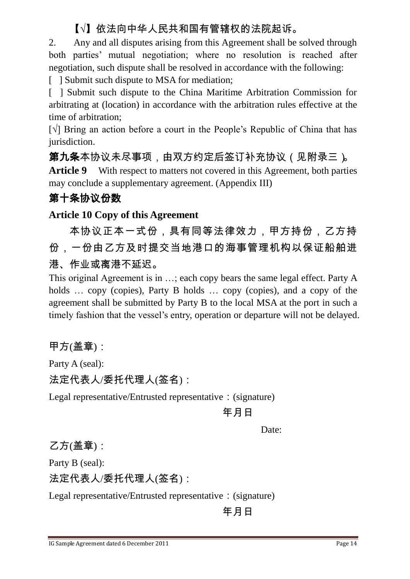### 【√】依法向中华人民共和国有管辖权的法院起诉。

2. Any and all disputes arising from this Agreement shall be solved through both parties' mutual negotiation; where no resolution is reached after negotiation, such dispute shall be resolved in accordance with the following:

[ ] Submit such dispute to MSA for mediation;

[ ] Submit such dispute to the China Maritime Arbitration Commission for arbitrating at (location) in accordance with the arbitration rules effective at the time of arbitration;

[√] Bring an action before a court in the People's Republic of China that has jurisdiction.

第九条本协议未尽事项,由双方约定后签订补充协议(见附录三)。 **Article 9** With respect to matters not covered in this Agreement, both parties may conclude a supplementary agreement. (Appendix III)

#### 第十条协议份数

#### **Article 10 Copy of this Agreement**

本协议正本一式份,具有同等法律效力,甲方持份,乙方持 份,一份由乙方及时提交当地港口的海事管理机构以保证船舶进 港、作业或离港不延迟。

This original Agreement is in …; each copy bears the same legal effect. Party A holds ... copy (copies), Party B holds ... copy (copies), and a copy of the agreement shall be submitted by Party B to the local MSA at the port in such a timely fashion that the vessel's entry, operation or departure will not be delayed.

#### 甲方(盖章):

Party A (seal):

法定代表人/委托代理人(签名):

Legal representative/Entrusted representative: (signature)

#### 年月日

Date:

乙方(盖章):

Party B (seal):

法定代表人/委托代理人(签名):

Legal representative/Entrusted representative: (signature)

年月日